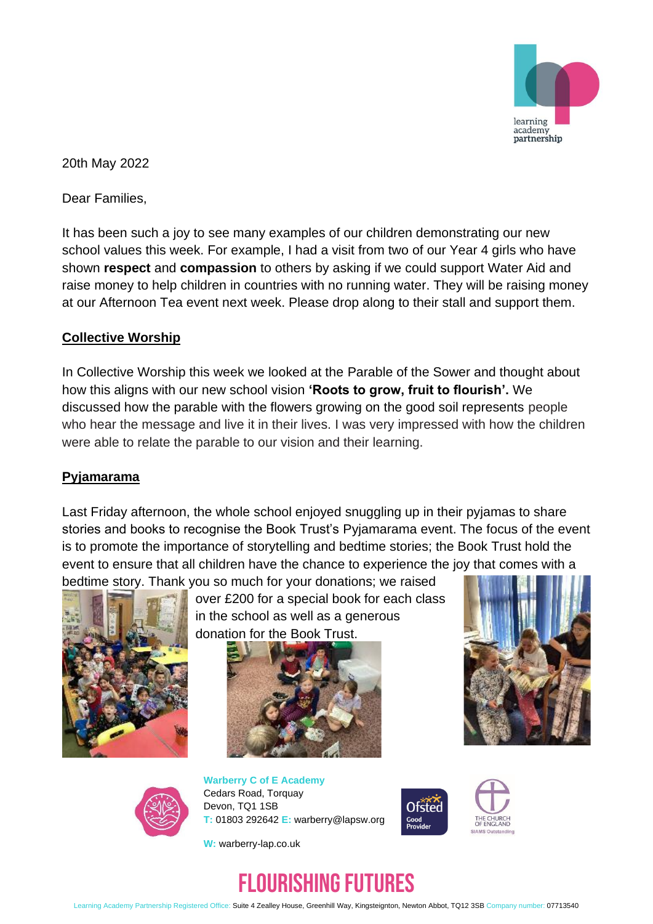

20th May 2022

Dear Families,

It has been such a joy to see many examples of our children demonstrating our new school values this week. For example, I had a visit from two of our Year 4 girls who have shown **respect** and **compassion** to others by asking if we could support Water Aid and raise money to help children in countries with no running water. They will be raising money at our Afternoon Tea event next week. Please drop along to their stall and support them.

### **Collective Worship**

In Collective Worship this week we looked at the Parable of the Sower and thought about how this aligns with our new school vision **'Roots to grow, fruit to flourish'.** We discussed how the parable with the flowers growing on the good soil represents people who hear the message and live it in their lives. I was very impressed with how the children were able to relate the parable to our vision and their learning.

#### **Pyjamarama**

Last Friday afternoon, the whole school enjoyed snuggling up in their pyjamas to share stories and books to recognise the Book Trust's Pyjamarama event. The focus of the event is to promote the importance of storytelling and bedtime stories; the Book Trust hold the event to ensure that all children have the chance to experience the joy that comes with a bedtime story. Thank you so much for your donations; we raised



over £200 for a special book for each class in the school as well as a generous donation for the Book Trust.







**Warberry C of E Academy** Cedars Road, Torquay Devon, TQ1 1SB **T:** 01803 292642 **E:** warberry@lapsw.org





**W:** warberry-lap.co.uk

# FLOURISHING FUTURES